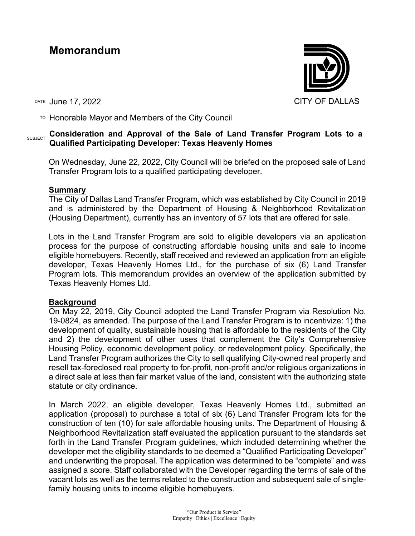# **Memorandum**

DATE June 17, 2022 CITY OF DALLAS

TO Honorable Mayor and Members of the City Council

## SUBJECT Consideration and Approval of the Sale of Land Transfer Program Lots to a **Qualified Participating Developer: Texas Heavenly Homes**

On Wednesday, June 22, 2022, City Council will be briefed on the proposed sale of Land Transfer Program lots to a qualified participating developer.

### **Summary**

The City of Dallas Land Transfer Program, which was established by City Council in 2019 and is administered by the Department of Housing & Neighborhood Revitalization (Housing Department), currently has an inventory of 57 lots that are offered for sale.

Lots in the Land Transfer Program are sold to eligible developers via an application process for the purpose of constructing affordable housing units and sale to income eligible homebuyers. Recently, staff received and reviewed an application from an eligible developer, Texas Heavenly Homes Ltd., for the purchase of six (6) Land Transfer Program lots. This memorandum provides an overview of the application submitted by Texas Heavenly Homes Ltd.

### **Background**

On May 22, 2019, City Council adopted the Land Transfer Program via Resolution No. 19-0824, as amended. The purpose of the Land Transfer Program is to incentivize: 1) the development of quality, sustainable housing that is affordable to the residents of the City and 2) the development of other uses that complement the City's Comprehensive Housing Policy, economic development policy, or redevelopment policy. Specifically, the Land Transfer Program authorizes the City to sell qualifying City-owned real property and resell tax-foreclosed real property to for-profit, non-profit and/or religious organizations in a direct sale at less than fair market value of the land, consistent with the authorizing state statute or city ordinance.

In March 2022, an eligible developer, Texas Heavenly Homes Ltd., submitted an application (proposal) to purchase a total of six (6) Land Transfer Program lots for the construction of ten (10) for sale affordable housing units. The Department of Housing & Neighborhood Revitalization staff evaluated the application pursuant to the standards set forth in the Land Transfer Program guidelines, which included determining whether the developer met the eligibility standards to be deemed a "Qualified Participating Developer" and underwriting the proposal. The application was determined to be "complete" and was assigned a score. Staff collaborated with the Developer regarding the terms of sale of the vacant lots as well as the terms related to the construction and subsequent sale of singlefamily housing units to income eligible homebuyers.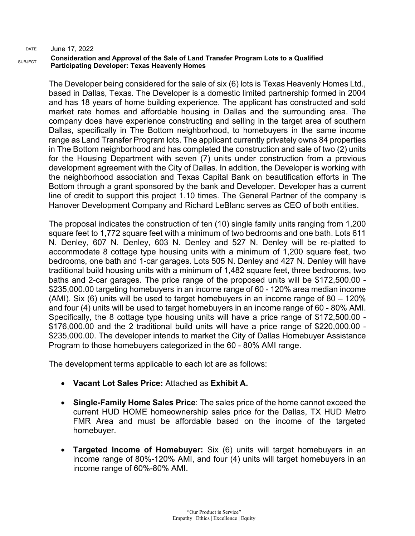#### **Consideration and Approval of the Sale of Land Transfer Program Lots to a Qualified Participating Developer: Texas Heavenly Homes**

The Developer being considered for the sale of six (6) lots is Texas Heavenly Homes Ltd., based in Dallas, Texas. The Developer is a domestic limited partnership formed in 2004 and has 18 years of home building experience. The applicant has constructed and sold market rate homes and affordable housing in Dallas and the surrounding area. The company does have experience constructing and selling in the target area of southern Dallas, specifically in The Bottom neighborhood, to homebuyers in the same income range as Land Transfer Program lots. The applicant currently privately owns 84 properties in The Bottom neighborhood and has completed the construction and sale of two (2) units for the Housing Department with seven (7) units under construction from a previous development agreement with the City of Dallas. In addition, the Developer is working with the neighborhood association and Texas Capital Bank on beautification efforts in The Bottom through a grant sponsored by the bank and Developer. Developer has a current line of credit to support this project 1.10 times. The General Partner of the company is Hanover Development Company and Richard LeBlanc serves as CEO of both entities.

The proposal indicates the construction of ten (10) single family units ranging from 1,200 square feet to 1,772 square feet with a minimum of two bedrooms and one bath. Lots 611 N. Denley, 607 N. Denley, 603 N. Denley and 527 N. Denley will be re-platted to accommodate 8 cottage type housing units with a minimum of 1,200 square feet, two bedrooms, one bath and 1-car garages. Lots 505 N. Denley and 427 N. Denley will have traditional build housing units with a minimum of 1,482 square feet, three bedrooms, two baths and 2-car garages. The price range of the proposed units will be \$172,500.00 - \$235,000.00 targeting homebuyers in an income range of 60 - 120% area median income (AMI). Six (6) units will be used to target homebuyers in an income range of 80 – 120% and four (4) units will be used to target homebuyers in an income range of 60 - 80% AMI. Specifically, the 8 cottage type housing units will have a price range of \$172,500.00 - \$176,000.00 and the 2 traditional build units will have a price range of \$220,000.00 - \$235,000.00. The developer intends to market the City of Dallas Homebuyer Assistance Program to those homebuyers categorized in the 60 - 80% AMI range.

The development terms applicable to each lot are as follows:

- **Vacant Lot Sales Price:** Attached as **Exhibit A.**
- **Single-Family Home Sales Price**: The sales price of the home cannot exceed the current HUD HOME homeownership sales price for the Dallas, TX HUD Metro FMR Area and must be affordable based on the income of the targeted homebuyer.
- **Targeted Income of Homebuyer:** Six (6) units will target homebuyers in an income range of 80%-120% AMI, and four (4) units will target homebuyers in an income range of 60%-80% AMI.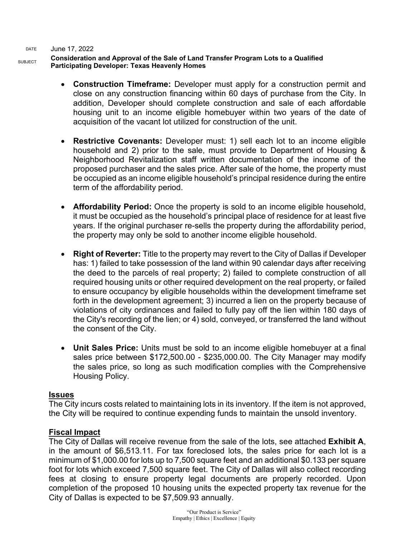#### **Consideration and Approval of the Sale of Land Transfer Program Lots to a Qualified Participating Developer: Texas Heavenly Homes**

- **Construction Timeframe:** Developer must apply for a construction permit and close on any construction financing within 60 days of purchase from the City. In addition, Developer should complete construction and sale of each affordable housing unit to an income eligible homebuyer within two years of the date of acquisition of the vacant lot utilized for construction of the unit.
- **Restrictive Covenants:** Developer must: 1) sell each lot to an income eligible household and 2) prior to the sale, must provide to Department of Housing & Neighborhood Revitalization staff written documentation of the income of the proposed purchaser and the sales price. After sale of the home, the property must be occupied as an income eligible household's principal residence during the entire term of the affordability period.
- **Affordability Period:** Once the property is sold to an income eligible household, it must be occupied as the household's principal place of residence for at least five years. If the original purchaser re-sells the property during the affordability period, the property may only be sold to another income eligible household.
- **Right of Reverter:** Title to the property may revert to the City of Dallas if Developer has: 1) failed to take possession of the land within 90 calendar days after receiving the deed to the parcels of real property; 2) failed to complete construction of all required housing units or other required development on the real property, or failed to ensure occupancy by eligible households within the development timeframe set forth in the development agreement; 3) incurred a lien on the property because of violations of city ordinances and failed to fully pay off the lien within 180 days of the City's recording of the lien; or 4) sold, conveyed, or transferred the land without the consent of the City.
- **Unit Sales Price:** Units must be sold to an income eligible homebuyer at a final sales price between \$172,500.00 - \$235,000.00. The City Manager may modify the sales price, so long as such modification complies with the Comprehensive Housing Policy.

### **Issues**

The City incurs costs related to maintaining lots in its inventory. If the item is not approved, the City will be required to continue expending funds to maintain the unsold inventory.

### **Fiscal Impact**

The City of Dallas will receive revenue from the sale of the lots, see attached **Exhibit A**, in the amount of \$6,513.11. For tax foreclosed lots, the sales price for each lot is a minimum of \$1,000.00 for lots up to 7,500 square feet and an additional \$0.133 per square foot for lots which exceed 7,500 square feet. The City of Dallas will also collect recording fees at closing to ensure property legal documents are properly recorded. Upon completion of the proposed 10 housing units the expected property tax revenue for the City of Dallas is expected to be \$7,509.93 annually.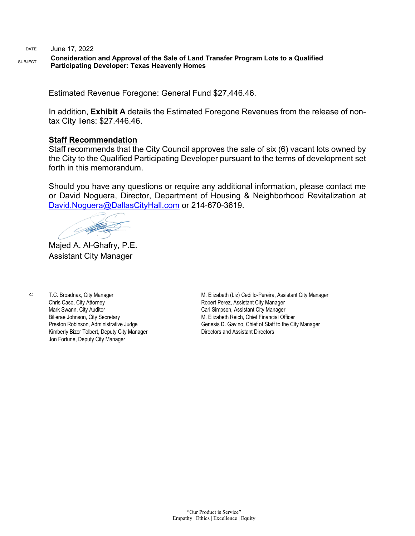#### **Consideration and Approval of the Sale of Land Transfer Program Lots to a Qualified Participating Developer: Texas Heavenly Homes**

Estimated Revenue Foregone: General Fund \$27,446.46.

In addition, **Exhibit A** details the Estimated Foregone Revenues from the release of nontax City liens: \$27.446.46.

#### **Staff Recommendation**

Staff recommends that the City Council approves the sale of six (6) vacant lots owned by the City to the Qualified Participating Developer pursuant to the terms of development set forth in this memorandum.

Should you have any questions or require any additional information, please contact me or David Noguera, Director, Department of Housing & Neighborhood Revitalization at [David.Noguera@DallasCityHall.com](mailto:David.Noguera@DallasCityHall.com) or 214-670-3619.

Supported the

Majed A. Al-Ghafry, P.E. Assistant City Manager

c: T.C. Broadnax, City Manager Chris Caso, City Attorney Mark Swann, City Auditor Bilierae Johnson, City Secretary Preston Robinson, Administrative Judge Kimberly Bizor Tolbert, Deputy City Manager Jon Fortune, Deputy City Manager

M. Elizabeth (Liz) Cedillo-Pereira, Assistant City Manager Robert Perez, Assistant City Manager Carl Simpson, Assistant City Manager M. Elizabeth Reich, Chief Financial Officer Genesis D. Gavino, Chief of Staff to the City Manager Directors and Assistant Directors